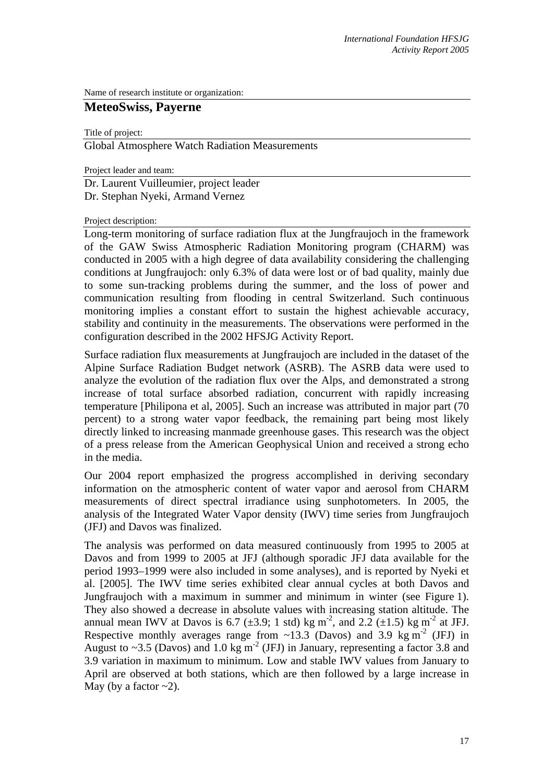Name of research institute or organization:

# **MeteoSwiss, Payerne**

Title of project:

Global Atmosphere Watch Radiation Measurements

Project leader and team:

Dr. Laurent Vuilleumier, project leader Dr. Stephan Nyeki, Armand Vernez

#### Project description:

Long-term monitoring of surface radiation flux at the Jungfraujoch in the framework of the GAW Swiss Atmospheric Radiation Monitoring program (CHARM) was conducted in 2005 with a high degree of data availability considering the challenging conditions at Jungfraujoch: only 6.3% of data were lost or of bad quality, mainly due to some sun-tracking problems during the summer, and the loss of power and communication resulting from flooding in central Switzerland. Such continuous monitoring implies a constant effort to sustain the highest achievable accuracy, stability and continuity in the measurements. The observations were performed in the configuration described in the 2002 HFSJG Activity Report.

Surface radiation flux measurements at Jungfraujoch are included in the dataset of the Alpine Surface Radiation Budget network (ASRB). The ASRB data were used to analyze the evolution of the radiation flux over the Alps, and demonstrated a strong increase of total surface absorbed radiation, concurrent with rapidly increasing temperature [Philipona et al, 2005]. Such an increase was attributed in major part (70 percent) to a strong water vapor feedback, the remaining part being most likely directly linked to increasing manmade greenhouse gases. This research was the object of a press release from the American Geophysical Union and received a strong echo in the media.

Our 2004 report emphasized the progress accomplished in deriving secondary information on the atmospheric content of water vapor and aerosol from CHARM measurements of direct spectral irradiance using sunphotometers. In 2005, the analysis of the Integrated Water Vapor density (IWV) time series from Jungfraujoch (JFJ) and Davos was finalized.

The analysis was performed on data measured continuously from 1995 to 2005 at Davos and from 1999 to 2005 at JFJ (although sporadic JFJ data available for the period 1993–1999 were also included in some analyses), and is reported by Nyeki et al. [2005]. The IWV time series exhibited clear annual cycles at both Davos and Jungfraujoch with a maximum in summer and minimum in winter (see Figure 1). They also showed a decrease in absolute values with increasing station altitude. The annual mean IWV at Davos is 6.7 ( $\pm$ 3.9; 1 std) kg m<sup>-2</sup>, and 2.2 ( $\pm$ 1.5) kg m<sup>-2</sup> at JFJ. Respective monthly averages range from  $\sim$ 13.3 (Davos) and 3.9 kg m<sup>-2</sup> (JFJ) in August to ~3.5 (Davos) and 1.0 kg m<sup>-2</sup> (JFJ) in January, representing a factor 3.8 and 3.9 variation in maximum to minimum. Low and stable IWV values from January to April are observed at both stations, which are then followed by a large increase in May (by a factor  $\sim$ 2).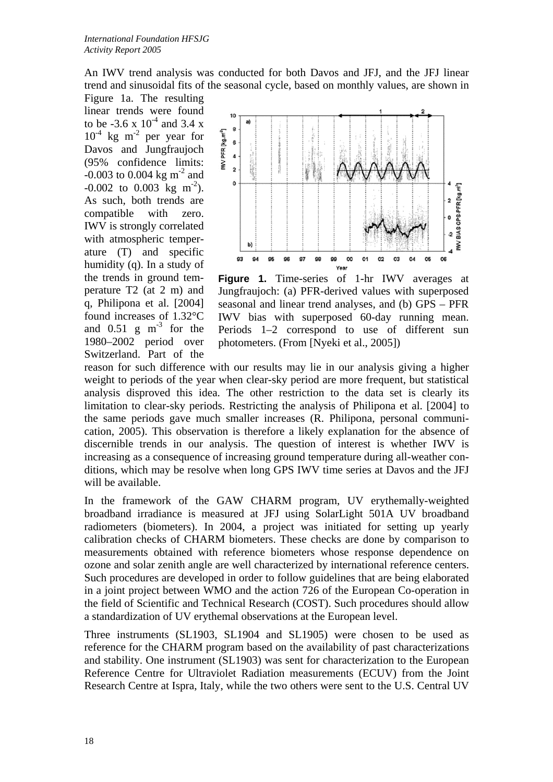An IWV trend analysis was conducted for both Davos and JFJ, and the JFJ linear trend and sinusoidal fits of the seasonal cycle, based on monthly values, are shown in

Figure 1a. The resulting linear trends were found to be  $-3.6 \times 10^{-4}$  and 3.4 x  $10^{-4}$  kg m<sup>-2</sup> per year for Davos and Jungfraujoch (95% confidence limits:  $-0.003$  to 0.004 kg m<sup>-2</sup> and  $-0.002$  to 0.003 kg m<sup>-2</sup>). As such, both trends are compatible with zero. IWV is strongly correlated with atmospheric temperature (T) and specific humidity (q). In a study of the trends in ground temperature T2 (at 2 m) and q, Philipona et al. [2004] found increases of 1.32°C and  $0.51 \text{ g m}^{-3}$  for the 1980–2002 period over Switzerland. Part of the



**Figure 1.** Time-series of 1-hr IWV averages at Jungfraujoch: (a) PFR-derived values with superposed seasonal and linear trend analyses, and (b) GPS – PFR IWV bias with superposed 60-day running mean. Periods 1–2 correspond to use of different sun photometers. (From [Nyeki et al., 2005])

reason for such difference with our results may lie in our analysis giving a higher weight to periods of the year when clear-sky period are more frequent, but statistical analysis disproved this idea. The other restriction to the data set is clearly its limitation to clear-sky periods. Restricting the analysis of Philipona et al. [2004] to the same periods gave much smaller increases (R. Philipona, personal communication, 2005). This observation is therefore a likely explanation for the absence of discernible trends in our analysis. The question of interest is whether IWV is increasing as a consequence of increasing ground temperature during all-weather conditions, which may be resolve when long GPS IWV time series at Davos and the JFJ will be available.

In the framework of the GAW CHARM program, UV erythemally-weighted broadband irradiance is measured at JFJ using SolarLight 501A UV broadband radiometers (biometers). In 2004, a project was initiated for setting up yearly calibration checks of CHARM biometers. These checks are done by comparison to measurements obtained with reference biometers whose response dependence on ozone and solar zenith angle are well characterized by international reference centers. Such procedures are developed in order to follow guidelines that are being elaborated in a joint project between WMO and the action 726 of the European Co-operation in the field of Scientific and Technical Research (COST). Such procedures should allow a standardization of UV erythemal observations at the European level.

Three instruments (SL1903, SL1904 and SL1905) were chosen to be used as reference for the CHARM program based on the availability of past characterizations and stability. One instrument (SL1903) was sent for characterization to the European Reference Centre for Ultraviolet Radiation measurements (ECUV) from the Joint Research Centre at Ispra, Italy, while the two others were sent to the U.S. Central UV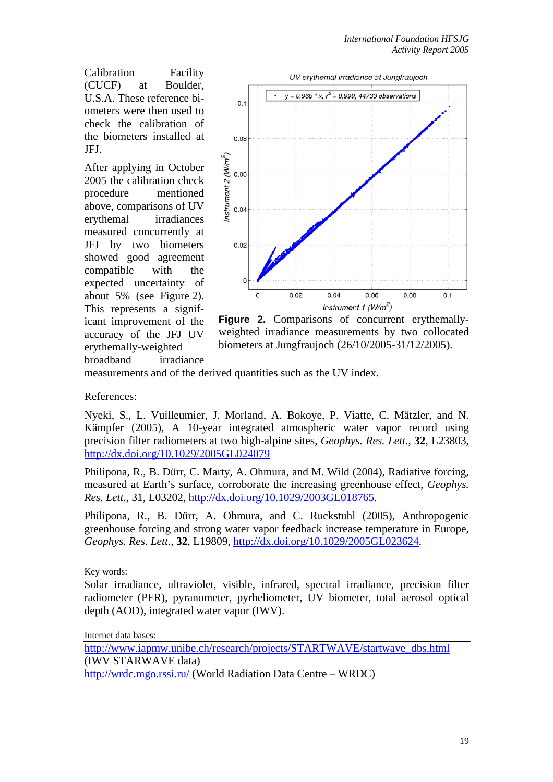Calibration Facility (CUCF) at Boulder, U.S.A. These reference biometers were then used to check the calibration of the biometers installed at JFJ.

After applying in October 2005 the calibration check procedure mentioned above, comparisons of UV erythemal irradiances measured concurrently at JFJ by two biometers showed good agreement compatible with the expected uncertainty of about 5% (see Figure 2). This represents a significant improvement of the accuracy of the JFJ UV erythemally-weighted broadband irradiance



**Figure 2.** Comparisons of concurrent erythemallyweighted irradiance measurements by two collocated biometers at Jungfraujoch (26/10/2005-31/12/2005).

measurements and of the derived quantities such as the UV index.

References:

Nyeki, S., L. Vuilleumier, J. Morland, A. Bokoye, P. Viatte, C. Mätzler, and N. Kämpfer (2005), A 10-year integrated atmospheric water vapor record using precision filter radiometers at two high-alpine sites, *Geophys. Res. Lett.*, **32**, L23803, http://dx.doi.org/10.1029/2005GL024079

Philipona, R., B. Dürr, C. Marty, A. Ohmura, and M. Wild (2004), Radiative forcing, measured at Earth's surface, corroborate the increasing greenhouse effect, *Geophys. Res. Lett.*, 31, L03202, http://dx.doi.org/10.1029/2003GL018765.

Philipona, R., B. Dürr, A. Ohmura, and C. Ruckstuhl (2005), Anthropogenic greenhouse forcing and strong water vapor feedback increase temperature in Europe, *Geophys. Res. Lett.*, **32**, L19809, http://dx.doi.org/10.1029/2005GL023624.

Key words:

Solar irradiance, ultraviolet, visible, infrared, spectral irradiance, precision filter radiometer (PFR), pyranometer, pyrheliometer, UV biometer, total aerosol optical depth (AOD), integrated water vapor (IWV).

Internet data bases:

http://www.iapmw.unibe.ch/research/projects/STARTWAVE/startwave\_dbs.html (IWV STARWAVE data) http://wrdc.mgo.rssi.ru/ (World Radiation Data Centre – WRDC)